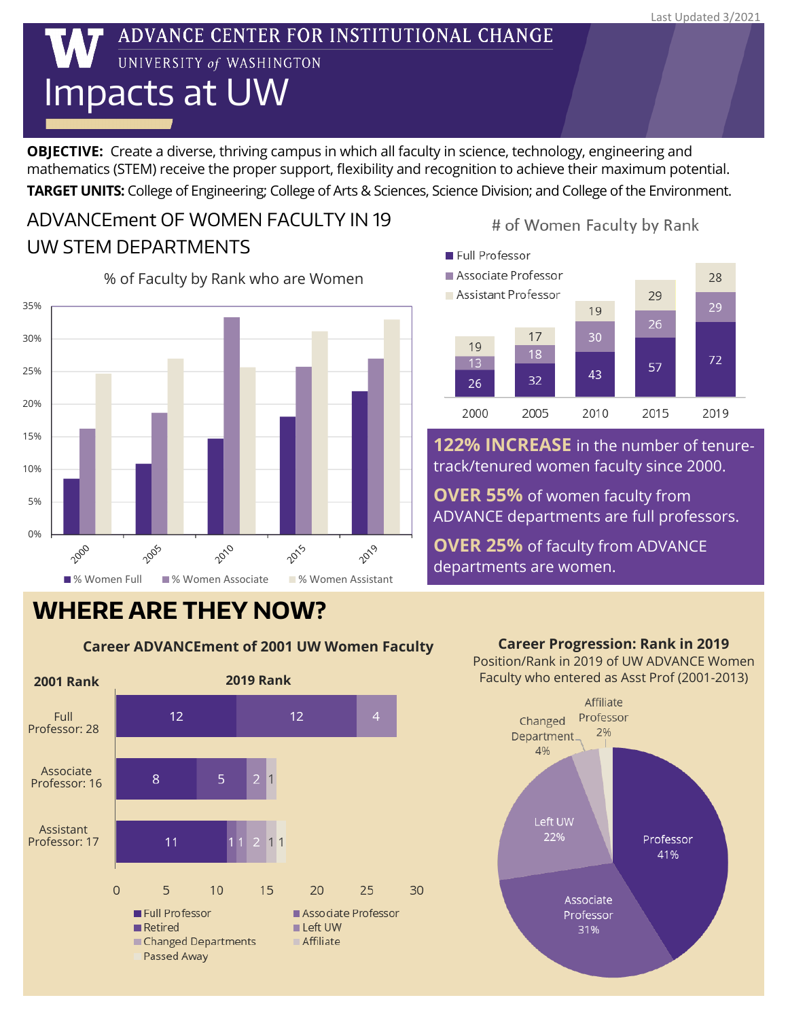#### Last Updated 3/2021

## ADVANCE CENTER FOR INSTITUTIONAL CHANGE UNIVERSITY of WASHINGTON Impacts at UW

**OBJECTIVE:** Create a diverse, thriving campus in which all faculty in science, technology, engineering and mathematics (STEM) receive the proper support, flexibility and recognition to achieve their maximum potential. **TARGET UNITS:** College of Engineering; College of Arts & Sciences, Science Division; and College of the Environment.

## ADVANCEment OF WOMEN FACULTY IN 19 UW STEM DEPARTMENTS

35% 30% 25% 20% 15% 10% 5% 0% 2010 2015 2019 2000 2005 ■% Women Full ■% Women Associate ■ % Women Assistant

# % of Faculty by Rank who are Women

### # of Women Faculty by Rank



**122% INCREASE** in the number of tenuretrack/tenured women faculty since 2000.

**OVER 55%** of women faculty from ADVANCE departments are full professors.

**OVER 25%** of faculty from ADVANCE departments are women.

## **WHERE ARE THEY NOW?**

**Career ADVANCEment of 2001 UW Women Faculty Career Progression: Rank in 2019**



Position/Rank in 2019 of UW ADVANCE Women Faculty who entered as Asst Prof (2001-2013)